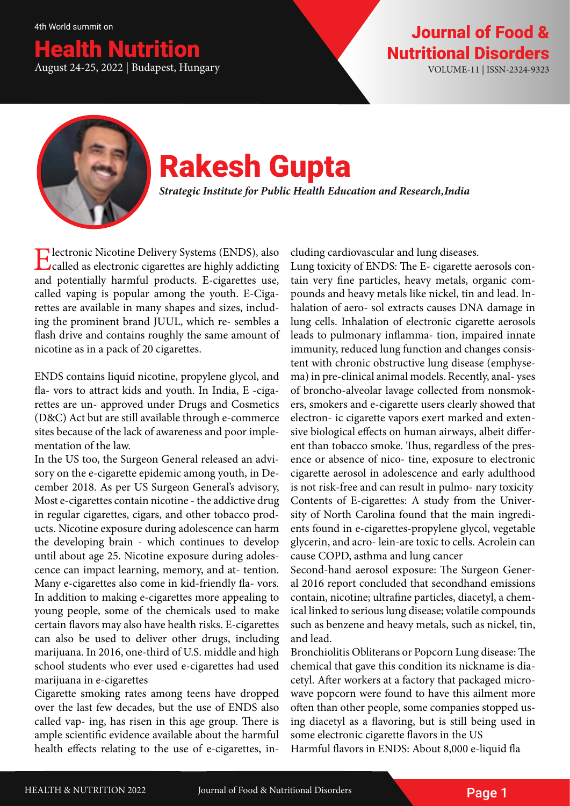### ealth Nutrition August 24-25, 2022 | Budapest, Hungary VOLUME-11 | ISSN-2324-9323

## Journal of Food & Nutritional Disorders



# Rakesh Gupta

*Strategic Institute for Public Health Education and Research, India*

**Electronic Nicotine Delivery Systems (ENDS), also** called as electronic cigarettes are highly addicting and potentially harmful products. E-cigarettes use, called vaping is popular among the youth. E-Cigarettes are available in many shapes and sizes, including the prominent brand JUUL, which re- sembles a flash drive and contains roughly the same amount of nicotine as in a pack of 20 cigarettes.

ENDS contains liquid nicotine, propylene glycol, and fla- vors to attract kids and youth. In India, E -cigarettes are un- approved under Drugs and Cosmetics (D&C) Act but are still available through e-commerce sites because of the lack of awareness and poor implementation of the law.

In the US too, the Surgeon General released an advisory on the e-cigarette epidemic among youth, in December 2018. As per US Surgeon General's advisory, Most e-cigarettes contain nicotine - the addictive drug in regular cigarettes, cigars, and other tobacco products. Nicotine exposure during adolescence can harm the developing brain - which continues to develop until about age 25. Nicotine exposure during adolescence can impact learning, memory, and at- tention. Many e-cigarettes also come in kid-friendly fla- vors. In addition to making e-cigarettes more appealing to young people, some of the chemicals used to make certain flavors may also have health risks. E-cigarettes can also be used to deliver other drugs, including marijuana. In 2016, one-third of U.S. middle and high school students who ever used e-cigarettes had used marijuana in e-cigarettes

Cigarette smoking rates among teens have dropped over the last few decades, but the use of ENDS also called vap- ing, has risen in this age group. There is ample scientific evidence available about the harmful health effects relating to the use of e-cigarettes, including cardiovascular and lung diseases.

Lung toxicity of ENDS: The E- cigarette aerosols contain very fine particles, heavy metals, organic compounds and heavy metals like nickel, tin and lead. Inhalation of aero- sol extracts causes DNA damage in lung cells. Inhalation of electronic cigarette aerosols leads to pulmonary inflamma- tion, impaired innate immunity, reduced lung function and changes consistent with chronic obstructive lung disease (emphysema) in pre-clinical animal models. Recently, anal- yses of broncho-alveolar lavage collected from nonsmokers, smokers and e-cigarette users clearly showed that electron- ic cigarette vapors exert marked and extensive biological effects on human airways, albeit different than tobacco smoke. Thus, regardless of the presence or absence of nico- tine, exposure to electronic cigarette aerosol in adolescence and early adulthood is not risk-free and can result in pulmo- nary toxicity Contents of E-cigarettes: A study from the University of North Carolina found that the main ingredients found in e-cigarettes-propylene glycol, vegetable glycerin, and acro- lein-are toxic to cells. Acrolein can cause COPD, asthma and lung cancer

Second-hand aerosol exposure: The Surgeon General 2016 report concluded that secondhand emissions contain, nicotine; ultrafine particles, diacetyl, a chemical linked to serious lung disease; volatile compounds such as benzene and heavy metals, such as nickel, tin, and lead.

Bronchiolitis Obliterans or Popcorn Lung disease: The chemical that gave this condition its nickname is diacetyl. After workers at a factory that packaged microwave popcorn were found to have this ailment more often than other people, some companies stopped using diacetyl as a flavoring, but is still being used in some electronic cigarette flavors in the US

Harmful flavors in ENDS: About 8,000 e-liquid fla